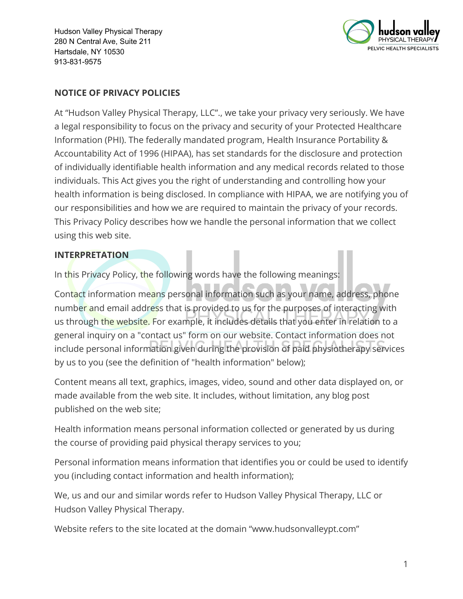

### **NOTICE OF PRIVACY POLICIES**

At "Hudson Valley Physical Therapy, LLC"., we take your privacy very seriously. We have a legal responsibility to focus on the privacy and security of your Protected Healthcare Information (PHI). The federally mandated program, Health Insurance Portability & Accountability Act of 1996 (HIPAA), has set standards for the disclosure and protection of individually identifiable health information and any medical records related to those individuals. This Act gives you the right of understanding and controlling how your health information is being disclosed. In compliance with HIPAA, we are notifying you of our responsibilities and how we are required to maintain the privacy of your records. This Privacy Policy describes how we handle the personal information that we collect using this web site.

#### **INTERPRETATION**

In this Privacy Policy, the following words have the following meanings:

Contact information means personal information such as your name, address, phone number and email address that is provided to us for the purposes of interacting with us through the website. For example, it includes details that you enter in relation to a general inquiry on a "contact us" form on our website. Contact information does not include personal information given during the provision of paid physiotherapy services by us to you (see the definition of "health information" below);

Content means all text, graphics, images, video, sound and other data displayed on, or made available from the web site. It includes, without limitation, any blog post published on the web site;

Health information means personal information collected or generated by us during the course of providing paid physical therapy services to you;

Personal information means information that identifies you or could be used to identify you (including contact information and health information);

We, us and our and similar words refer to Hudson Valley Physical Therapy, LLC or Hudson Valley Physical Therapy.

Website refers to the site located at the domain "www.hudsonvalleypt.com"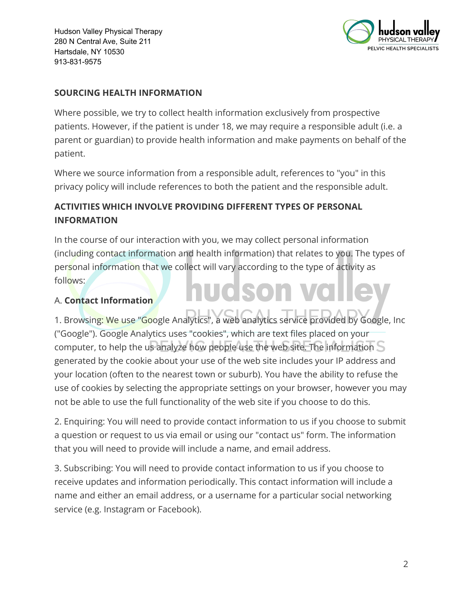

## **SOURCING HEALTH INFORMATION**

Where possible, we try to collect health information exclusively from prospective patients. However, if the patient is under 18, we may require a responsible adult (i.e. a parent or guardian) to provide health information and make payments on behalf of the patient.

Where we source information from a responsible adult, references to "you" in this privacy policy will include references to both the patient and the responsible adult.

# **ACTIVITIES WHICH INVOLVE PROVIDING DIFFERENT TYPES OF PERSONAL INFORMATION**

In the course of our interaction with you, we may collect personal information (including contact information and health information) that relates to you. The types of personal information that we collect will vary according to the type of activity as follows: **UGSON** 

## A. **Contact Information**

1. Browsing: We use "Google Analytics", a web analytics service provided by Google, Inc ("Google"). Google Analytics uses "cookies", which are text files placed on your computer, to help the us analyze how people use the web site. The information  $S$ generated by the cookie about your use of the web site includes your IP address and your location (often to the nearest town or suburb). You have the ability to refuse the use of cookies by selecting the appropriate settings on your browser, however you may not be able to use the full functionality of the web site if you choose to do this.

2. Enquiring: You will need to provide contact information to us if you choose to submit a question or request to us via email or using our "contact us" form. The information that you will need to provide will include a name, and email address.

3. Subscribing: You will need to provide contact information to us if you choose to receive updates and information periodically. This contact information will include a name and either an email address, or a username for a particular social networking service (e.g. Instagram or Facebook).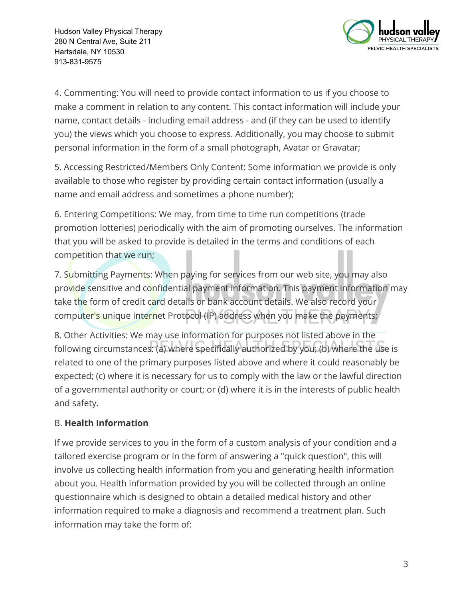

4. Commenting: You will need to provide contact information to us if you choose to make a comment in relation to any content. This contact information will include your name, contact details - including email address - and (if they can be used to identify you) the views which you choose to express. Additionally, you may choose to submit personal information in the form of a small photograph, Avatar or Gravatar;

5. Accessing Restricted/Members Only Content: Some information we provide is only available to those who register by providing certain contact information (usually a name and email address and sometimes a phone number);

6. Entering Competitions: We may, from time to time run competitions (trade promotion lotteries) periodically with the aim of promoting ourselves. The information that you will be asked to provide is detailed in the terms and conditions of each competition that we run;

7. Submitting Payments: When paying for services from our web site, you may also provide sensitive and confidential payment information. This payment information may take the form of credit card details or bank account details. We also record your computer's unique Internet Protocol (IP) address when you make the payments;

8. Other Activities: We may use information for purposes not listed above in the following circumstances: (a) where specifically authorized by you; (b) where the use is related to one of the primary purposes listed above and where it could reasonably be expected; (c) where it is necessary for us to comply with the law or the lawful direction of a governmental authority or court; or (d) where it is in the interests of public health and safety.

# B. **Health Information**

If we provide services to you in the form of a custom analysis of your condition and a tailored exercise program or in the form of answering a "quick question", this will involve us collecting health information from you and generating health information about you. Health information provided by you will be collected through an online questionnaire which is designed to obtain a detailed medical history and other information required to make a diagnosis and recommend a treatment plan. Such information may take the form of: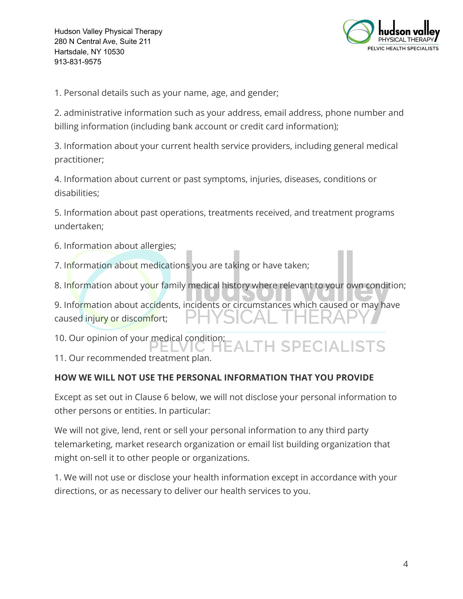

1. Personal details such as your name, age, and gender;

2. administrative information such as your address, email address, phone number and billing information (including bank account or credit card information);

3. Information about your current health service providers, including general medical practitioner;

4. Information about current or past symptoms, injuries, diseases, conditions or disabilities;

5. Information about past operations, treatments received, and treatment programs undertaken;

6. Information about allergies;

7. Information about medications you are taking or have taken;

8. Information about your family medical history where relevant to your own condition;

9. Information about accidents, incidents or circumstances which caused or may have caused injury or discomfort;

10. Our opinion of your medical condition;

**EALTH SPECIALISTS** 11. Our recommended treatment plan.

## **HOW WE WILL NOT USE THE PERSONAL INFORMATION THAT YOU PROVIDE**

Except as set out in Clause 6 below, we will not disclose your personal information to other persons or entities. In particular:

We will not give, lend, rent or sell your personal information to any third party telemarketing, market research organization or email list building organization that might on-sell it to other people or organizations.

1. We will not use or disclose your health information except in accordance with your directions, or as necessary to deliver our health services to you.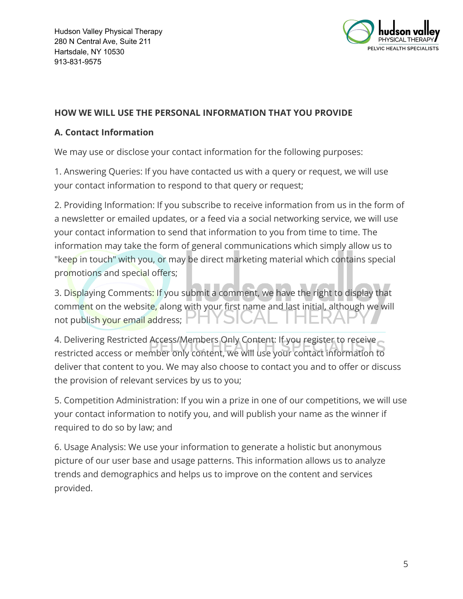

## **HOW WE WILL USE THE PERSONAL INFORMATION THAT YOU PROVIDE**

### **A. Contact Information**

We may use or disclose your contact information for the following purposes:

1. Answering Queries: If you have contacted us with a query or request, we will use your contact information to respond to that query or request;

2. Providing Information: If you subscribe to receive information from us in the form of a newsletter or emailed updates, or a feed via a social networking service, we will use your contact information to send that information to you from time to time. The information may take the form of general communications which simply allow us to "keep in touch" with you, or may be direct marketing material which contains special promotions and special offers;

3. Displaying Comments: If you submit a comment, we have the right to display that comment on the website, along with your first name and last initial, although we will not publish your email address;

4. Delivering Restricted Access/Members Only Content: If you register to receive restricted access or member only content, we will use your contact information to deliver that content to you. We may also choose to contact you and to offer or discuss the provision of relevant services by us to you;

5. Competition Administration: If you win a prize in one of our competitions, we will use your contact information to notify you, and will publish your name as the winner if required to do so by law; and

6. Usage Analysis: We use your information to generate a holistic but anonymous picture of our user base and usage patterns. This information allows us to analyze trends and demographics and helps us to improve on the content and services provided.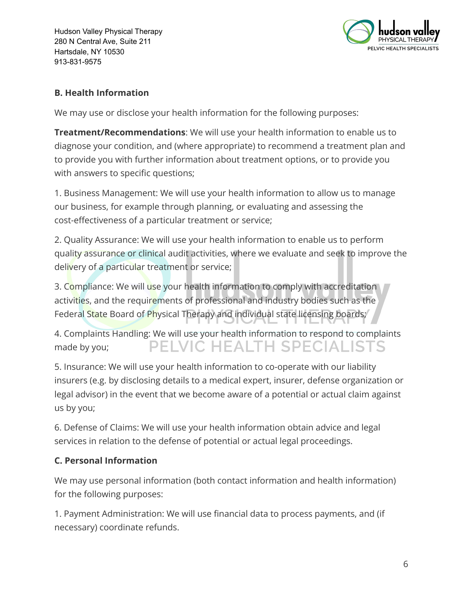

## **B. Health Information**

We may use or disclose your health information for the following purposes:

**Treatment/Recommendations**: We will use your health information to enable us to diagnose your condition, and (where appropriate) to recommend a treatment plan and to provide you with further information about treatment options, or to provide you with answers to specific questions;

1. Business Management: We will use your health information to allow us to manage our business, for example through planning, or evaluating and assessing the cost-effectiveness of a particular treatment or service;

2. Quality Assurance: We will use your health information to enable us to perform quality assurance or clinical audit activities, where we evaluate and seek to improve the delivery of a particular treatment or service;

3. Compliance: We will use your health information to comply with accreditation activities, and the requirements of professional and industry bodies such as the Federal State Board of Physical Therapy and individual state licensing boards;

4. Complaints Handling: We will use your health information to respond to complaints PELVIC HEALTH SPECIALISTS made by you;

5. Insurance: We will use your health information to co-operate with our liability insurers (e.g. by disclosing details to a medical expert, insurer, defense organization or legal advisor) in the event that we become aware of a potential or actual claim against us by you;

6. Defense of Claims: We will use your health information obtain advice and legal services in relation to the defense of potential or actual legal proceedings.

# **C. Personal Information**

We may use personal information (both contact information and health information) for the following purposes:

1. Payment Administration: We will use financial data to process payments, and (if necessary) coordinate refunds.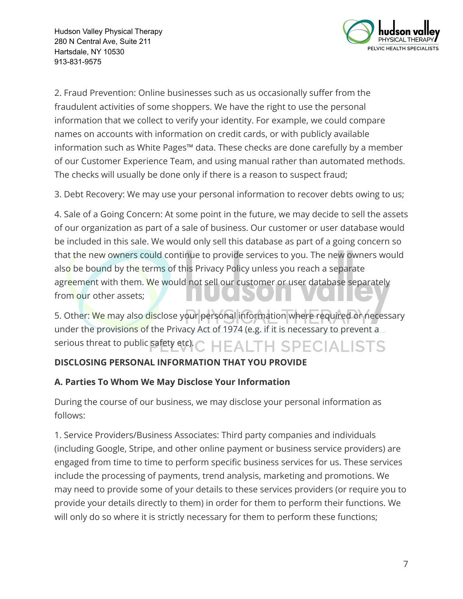

2. Fraud Prevention: Online businesses such as us occasionally suffer from the fraudulent activities of some shoppers. We have the right to use the personal information that we collect to verify your identity. For example, we could compare names on accounts with information on credit cards, or with publicly available information such as White Pages™ data. These checks are done carefully by a member of our Customer Experience Team, and using manual rather than automated methods. The checks will usually be done only if there is a reason to suspect fraud;

3. Debt Recovery: We may use your personal information to recover debts owing to us;

4. Sale of a Going Concern: At some point in the future, we may decide to sell the assets of our organization as part of a sale of business. Our customer or user database would be included in this sale. We would only sell this database as part of a going concern so that the new owners could continue to provide services to you. The new owners would also be bound by the terms of this Privacy Policy unless you reach a separate agreement with them. We would not sell our customer or user database separately from our other assets;

5. Other: We may also disclose your personal information where required or necessary under the provisions of the Privacy Act of 1974 (e.g. if it is necessary to prevent a serious threat to public safety etc). **HEALTH SPECIALISTS** 

# **DISCLOSING PERSONAL INFORMATION THAT YOU PROVIDE**

# **A. Parties To Whom We May Disclose Your Information**

During the course of our business, we may disclose your personal information as follows:

1. Service Providers/Business Associates: Third party companies and individuals (including Google, Stripe, and other online payment or business service providers) are engaged from time to time to perform specific business services for us. These services include the processing of payments, trend analysis, marketing and promotions. We may need to provide some of your details to these services providers (or require you to provide your details directly to them) in order for them to perform their functions. We will only do so where it is strictly necessary for them to perform these functions;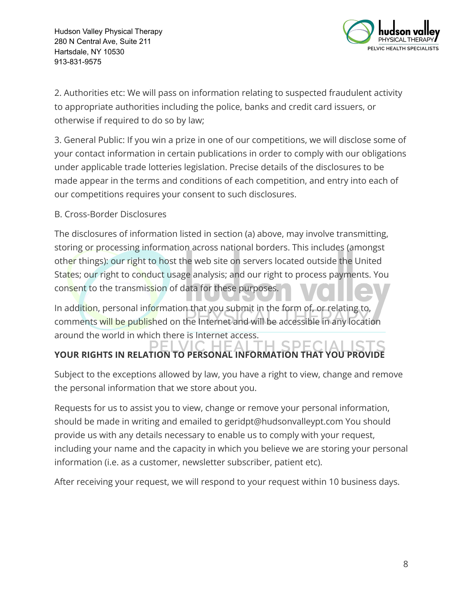

2. Authorities etc: We will pass on information relating to suspected fraudulent activity to appropriate authorities including the police, banks and credit card issuers, or otherwise if required to do so by law;

3. General Public: If you win a prize in one of our competitions, we will disclose some of your contact information in certain publications in order to comply with our obligations under applicable trade lotteries legislation. Precise details of the disclosures to be made appear in the terms and conditions of each competition, and entry into each of our competitions requires your consent to such disclosures.

## B. Cross-Border Disclosures

The disclosures of information listed in section (a) above, may involve transmitting, storing or processing information across national borders. This includes (amongst other things): our right to host the web site on servers located outside the United States; our right to conduct usage analysis; and our right to process payments. You consent to the transmission of data for these purposes.

In addition, personal information that you submit in the form of, or relating to, comments will be published on the Internet and will be accessible in any location around the world in which there is Internet access.

#### SPE ÷. **YOUR RIGHTS IN RELATION TO PERSONAL INFORMATION THAT YOU PROVIDE**

Subject to the exceptions allowed by law, you have a right to view, change and remove the personal information that we store about you.

Requests for us to assist you to view, change or remove your personal information, should be made in writing and emailed to geridpt@hudsonvalleypt.com You should provide us with any details necessary to enable us to comply with your request, including your name and the capacity in which you believe we are storing your personal information (i.e. as a customer, newsletter subscriber, patient etc).

After receiving your request, we will respond to your request within 10 business days.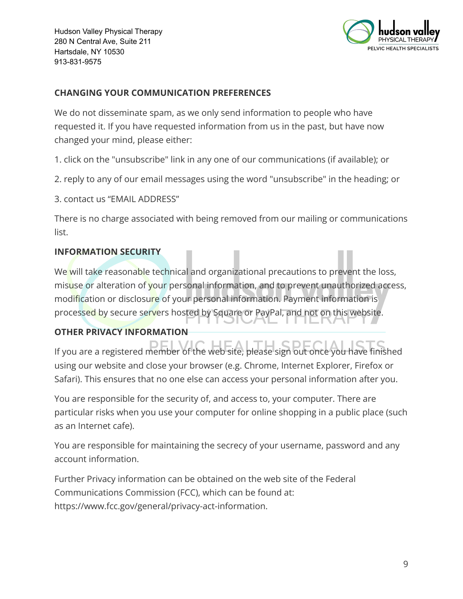

### **CHANGING YOUR COMMUNICATION PREFERENCES**

We do not disseminate spam, as we only send information to people who have requested it. If you have requested information from us in the past, but have now changed your mind, please either:

1. click on the "unsubscribe" link in any one of our communications (if available); or

- 2. reply to any of our email messages using the word "unsubscribe" in the heading; or
- 3. contact us "EMAIL ADDRESS"

There is no charge associated with being removed from our mailing or communications list.

#### **INFORMATION SECURITY**

We will take reasonable technical and organizational precautions to prevent the loss, misuse or alteration of your personal information, and to prevent unauthorized access, modification or disclosure of your personal information. Payment information is processed by secure servers hosted by Square or PayPal, and not on this website. 21 S 2 F

## **OTHER PRIVACY INFORMATION**

If you are a registered member of the web site, please sign out once you have finished using our website and close your browser (e.g. Chrome, Internet Explorer, Firefox or Safari). This ensures that no one else can access your personal information after you.

You are responsible for the security of, and access to, your computer. There are particular risks when you use your computer for online shopping in a public place (such as an Internet cafe).

You are responsible for maintaining the secrecy of your username, password and any account information.

Further Privacy information can be obtained on the web site of the Federal Communications Commission (FCC), which can be found at: https://www.fcc.gov/general/privacy-act-information.